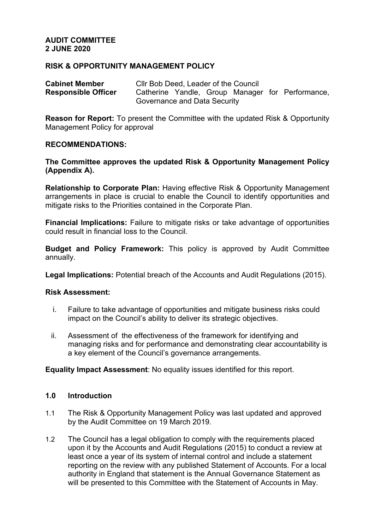### **AUDIT COMMITTEE 2 JUNE 2020**

### **RISK & OPPORTUNITY MANAGEMENT POLICY**

| <b>Cabinet Member</b>      | Cllr Bob Deed, Leader of the Council |  |  |  |  |                                                  |  |  |
|----------------------------|--------------------------------------|--|--|--|--|--------------------------------------------------|--|--|
| <b>Responsible Officer</b> |                                      |  |  |  |  | Catherine Yandle, Group Manager for Performance, |  |  |
|                            | Governance and Data Security         |  |  |  |  |                                                  |  |  |

**Reason for Report:** To present the Committee with the updated Risk & Opportunity Management Policy for approval

#### **RECOMMENDATIONS:**

**The Committee approves the updated Risk & Opportunity Management Policy (Appendix A).**

**Relationship to Corporate Plan:** Having effective Risk & Opportunity Management arrangements in place is crucial to enable the Council to identify opportunities and mitigate risks to the Priorities contained in the Corporate Plan.

**Financial Implications:** Failure to mitigate risks or take advantage of opportunities could result in financial loss to the Council.

**Budget and Policy Framework:** This policy is approved by Audit Committee annually.

**Legal Implications:** Potential breach of the Accounts and Audit Regulations (2015).

#### **Risk Assessment:**

- i. Failure to take advantage of opportunities and mitigate business risks could impact on the Council's ability to deliver its strategic objectives.
- ii. Assessment of the effectiveness of the framework for identifying and managing risks and for performance and demonstrating clear accountability is a key element of the Council's governance arrangements.

**Equality Impact Assessment**: No equality issues identified for this report.

#### **1.0 Introduction**

- 1.1 The Risk & Opportunity Management Policy was last updated and approved by the Audit Committee on 19 March 2019.
- 1.2 The Council has a legal obligation to comply with the requirements placed upon it by the Accounts and Audit Regulations (2015) to conduct a review at least once a year of its system of internal control and include a statement reporting on the review with any published Statement of Accounts. For a local authority in England that statement is the Annual Governance Statement as will be presented to this Committee with the Statement of Accounts in May.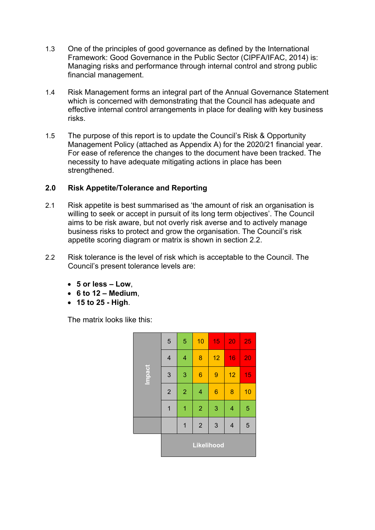- 1.3 One of the principles of good governance as defined by the International Framework: Good Governance in the Public Sector (CIPFA/IFAC, 2014) is: Managing risks and performance through internal control and strong public financial management.
- 1.4 Risk Management forms an integral part of the Annual Governance Statement which is concerned with demonstrating that the Council has adequate and effective internal control arrangements in place for dealing with key business risks.
- 1.5 The purpose of this report is to update the Council's Risk & Opportunity Management Policy (attached as Appendix A) for the 2020/21 financial year. For ease of reference the changes to the document have been tracked. The necessity to have adequate mitigating actions in place has been strengthened.

# **2.0 Risk Appetite/Tolerance and Reporting**

- 2.1 Risk appetite is best summarised as 'the amount of risk an organisation is willing to seek or accept in pursuit of its long term objectives'. The Council aims to be risk aware, but not overly risk averse and to actively manage business risks to protect and grow the organisation. The Council's risk appetite scoring diagram or matrix is shown in section 2.2.
- 2.2 Risk tolerance is the level of risk which is acceptable to the Council. The Council's present tolerance levels are:
	- **5 or less – Low**,
	- **6 to 12 – Medium**,
	- **15 to 25 - High**.

The matrix looks like this:

| <b>Impact</b> | 5                       | 5                       | 10                      | 15              | 20                      | 25 |  |  |  |
|---------------|-------------------------|-------------------------|-------------------------|-----------------|-------------------------|----|--|--|--|
|               | $\overline{\mathbf{4}}$ | $\overline{\mathbf{4}}$ | 8                       | 12              | 16                      | 20 |  |  |  |
|               | 3                       | 3                       | $\boldsymbol{6}$        | $\overline{9}$  | 12                      | 15 |  |  |  |
|               | $\overline{2}$          | $\overline{2}$          | $\overline{\mathbf{4}}$ | $6\phantom{1}6$ | 8                       | 10 |  |  |  |
|               | 1                       | 1                       | $\overline{2}$          | 3               | $\overline{\mathbf{4}}$ | 5  |  |  |  |
|               |                         | 1                       | $\overline{2}$          | 3               | $\overline{\mathbf{4}}$ | 5  |  |  |  |
|               | <b>Likelihood</b>       |                         |                         |                 |                         |    |  |  |  |